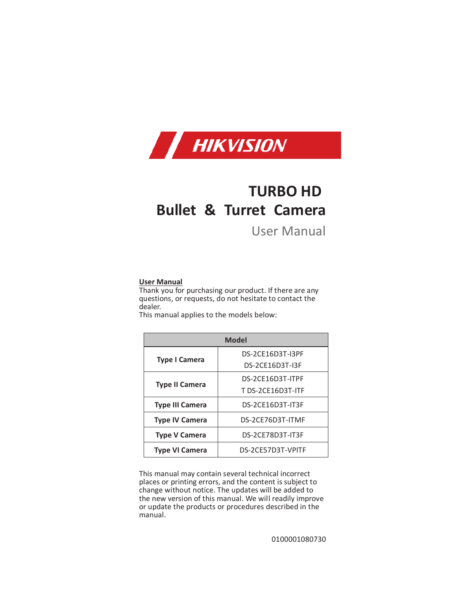

# **TURBO HD Bullet & Turret Camera**

# User Manual

# **User Manual**

Thank you for purchasing our product. If there are any questions, or requests, do not hesitate to contact the dealer.

This manual applies to the models below:

| <b>Model</b>           |                   |  |
|------------------------|-------------------|--|
| <b>Type I Camera</b>   | DS-2CF16D3T-I3PF  |  |
|                        | DS-2CE16D3T-I3F   |  |
| <b>Type II Camera</b>  | DS-2CE16D3T-ITPF  |  |
|                        | T DS-2CE16D3T-ITF |  |
| <b>Type III Camera</b> | DS-2CE16D3T-IT3F  |  |
| <b>Type IV Camera</b>  | DS-2CE76D3T-ITMF  |  |
| <b>Type V Camera</b>   | DS-2CE78D3T-IT3F  |  |
| <b>Type VI Camera</b>  | DS-2CE57D3T-VPITF |  |

This manual may contain several technical incorrect places or printing errors, and the content is subject to change without notice. The updates will be added to the new version of this manual. We will readily improve or update the products or procedures described in the manual.

0100001080730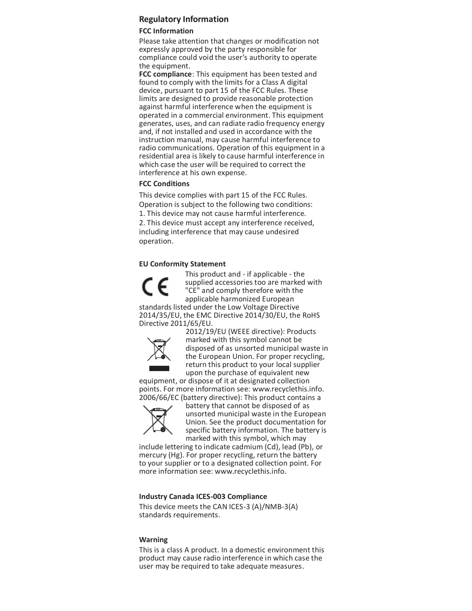# **Regulatory Information**

# **FCC Information**

Please take attention that changes or modification not expressly approved by the party responsible for compliance could void the user's authority to operate the equipment.

**FCC compliance**: This equipment has been tested and found to comply with the limits for a Class A digital device, pursuant to part 15 of the FCC Rules. These limits are designed to provide reasonable protection against harmful interference when the equipment is operated in a commercial environment. This equipment generates, uses, and can radiate radio frequency energy and, if not installed and used in accordance with the instruction manual, may cause harmful interference to radio communications. Operation of this equipment in a residential area is likely to cause harmful interference in which case the user will be required to correct the interference at his own expense.

# **FCC Conditions**

This device complies with part 15 of the FCC Rules. Operation is subject to the following two conditions: 1. This device may not cause harmful interference.

2. This device must accept any interference received, including interference that may cause undesired operation.

# **EU Conformity Statement**



This product and - if applicable - the supplied accessories too are marked with "CE" and comply therefore with the applicable harmonized European standards listed under the Low Voltage Directive

2014/35/EU, the EMC Directive 2014/30/EU, the RoHS Directive 2011/65/EU.



2012/19/EU (WEEE directive): Products marked with this symbol cannot be disposed of as unsorted municipal waste in the European Union. For proper recycling, return this product to your local supplier upon the purchase of equivalent new

equipment, or dispose of it at designated collection points. For more information see: www.recyclethis.info. 2006/66/EC (battery directive): This product contains a



battery that cannot be disposed of as unsorted municipal waste in the European Union. See the product documentation for specific battery information. The battery is marked with this symbol, which may

include lettering to indicate cadmium (Cd), lead (Pb), or mercury (Hg). For proper recycling, return the battery to your supplier or to a designated collection point. For more information see: www.recyclethis.info.

# **Industry Canada ICES-003 Compliance**

This device meets the CAN ICES-3 (A)/NMB-3(A) standards requirements.

#### **Warning**

This is a class A product. In a domestic environment this product may cause radio interference in which case the user may be required to take adequate measures.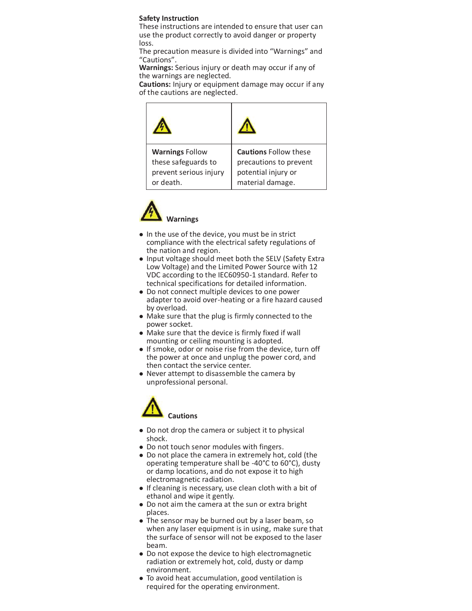#### **Safety Instruction**

These instructions are intended to ensure that user can use the product correctly to avoid danger or property loss.

The precaution measure is divided into "Warnings" and "Cautions".

**Warnings:** Serious injury or death may occur if any of the warnings are neglected.

**Cautions:** Injury or equipment damage may occur if any of the cautions are neglected.

| <b>Warnings Follow</b> | <b>Cautions Follow these</b> |
|------------------------|------------------------------|
| these safeguards to    | precautions to prevent       |
| prevent serious injury | potential injury or          |
| or death.              | material damage.             |



- $\bullet$  In the use of the device, you must be in strict compliance with the electrical safety regulations of the nation and region.
- Input voltage should meet both the SELV (Safety Extra Low Voltage) and the Limited Power Source with 12 VDC according to the IEC60950-1 standard. Refer to technical specifications for detailed information.
- Do not connect multiple devices to one power adapter to avoid over-heating or a fire hazard caused by overload.
- Make sure that the plug is firmly connected to the power socket.
- Make sure that the device is firmly fixed if wall mounting or ceiling mounting is adopted.
- If smoke, odor or noise rise from the device, turn off the power at once and unplug the power cord, and then contact the service center.
- Never attempt to disassemble the camera by unprofessional personal.



- Do not drop the camera or subject it to physical shock.
- Do not touch senor modules with fingers.
- Do not place the camera in extremely hot, cold (the operating temperature shall be -40°C to 60°C), dusty or damp locations, and do not expose it to high electromagnetic radiation.
- If cleaning is necessary, use clean cloth with a bit of ethanol and wipe it gently.
- Do not aim the camera at the sun or extra bright places.
- The sensor may be burned out by a laser beam, so when any laser equipment is in using, make sure that the surface of sensor will not be exposed to the laser beam.
- Do not expose the device to high electromagnetic radiation or extremely hot, cold, dusty or damp environment.
- To avoid heat accumulation, good ventilation is required for the operating environment.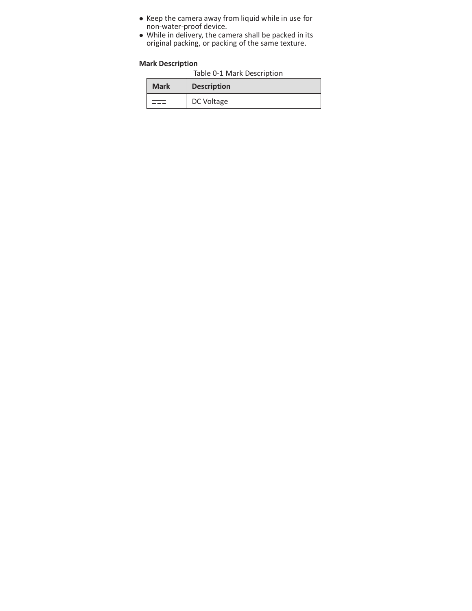- Keep the camera away from liquid while in use for non-water-proof device.
- While in delivery, the camera shall be packed in its original packing, or packing of the same texture.

# **Mark Description**

| Table 0-1 Mark Description |  |  |  |
|----------------------------|--|--|--|
|----------------------------|--|--|--|

| <b>Mark</b> | <b>Description</b> |
|-------------|--------------------|
|             | DC Voltage         |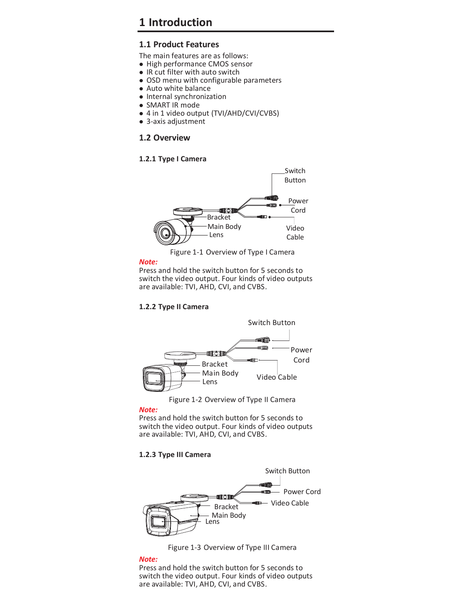# **1 Introduction**

# **1.1 Product Features**

The main features are as follows:

- High performance CMOS sensor
- $\bullet$  IR cut filter with auto switch
- OSD menu with configurable parameters
- Auto white balance
- Internal synchronization
- SMART IR mode
- 4 in 1 video output (TVI/AHD/CVI/CVBS)
- 3-axis adjustment

# **1.2 Overview**

#### **1.2.1 Type I Camera**



Figure 1-1 Overview of Type I Camera

# *Note:*

Press and hold the switch button for 5 seconds to switch the video output. Four kinds of video outputs are available: TVI, AHD, CVI, and CVBS.

### **1.2.2 Type II Camera**



Figure 1-2 Overview of Type II Camera

*Note:*

Press and hold the switch button for 5 seconds to switch the video output. Four kinds of video outputs are available: TVI, AHD, CVI, and CVBS.

# **1.2.3 Type III Camera**



Figure 1-3 Overview of Type III Camera

#### *Note:*

Press and hold the switch button for 5 seconds to switch the video output. Four kinds of video outputs are available: TVI, AHD, CVI, and CVBS.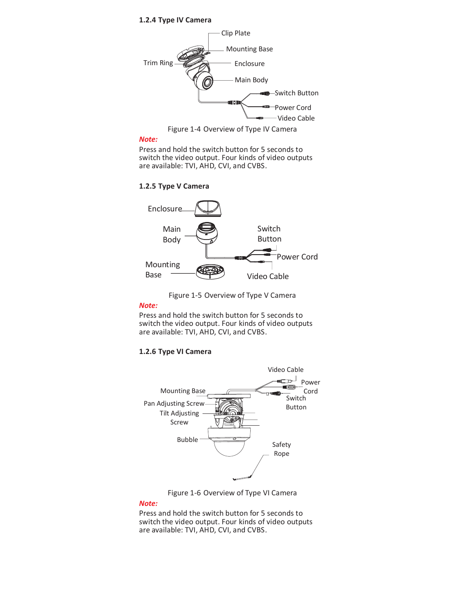#### **1.2.4 Type IV Camera**



Figure 1-4 Overview of Type IV Camera

# *Note:*

Press and hold the switch button for 5 seconds to switch the video output. Four kinds of video outputs are available: TVI, AHD, CVI, and CVBS.

**1.2.5 Type V Camera** 





*Note:*

Press and hold the switch button for 5 seconds to switch the video output. Four kinds of video outputs are available: TVI, AHD, CVI, and CVBS.

#### **1.2.6 Type VI Camera**



Figure 1-6 Overview of Type VI Camera

#### *Note:*

Press and hold the switch button for 5 seconds to switch the video output. Four kinds of video outputs are available: TVI, AHD, CVI, and CVBS.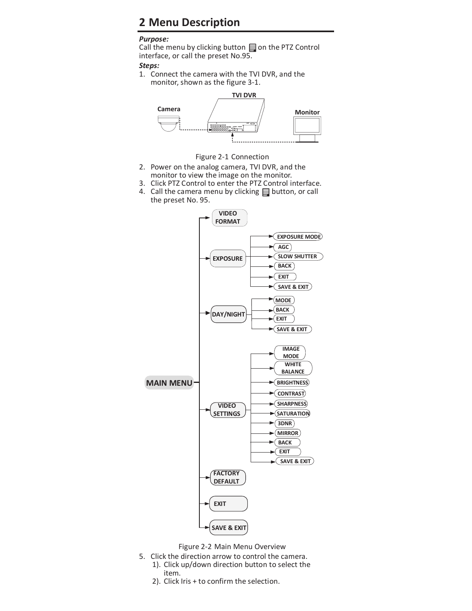# **2 Menu Description**

# *Purpose:*

Call the menu by clicking button  $\Box$  on the PTZ Control interface, or call the preset No.95.

# *Steps:*

1. Connect the camera with the TVI DVR, and the monitor, shown as the figure 3-1.





- 2. Power on the analog camera, TVI DVR, and the monitor to view the image on the monitor.
- 3. Click PTZ Control to enter the PTZ Control interface.
- 4. Call the camera menu by clicking  $\equiv$  button, or call the preset No. 95.





- 5. Click the direction arrow to control the camera. 1). Click up/down direction button to select the
	- item.
	- 2). Click Iris + to confirm the selection.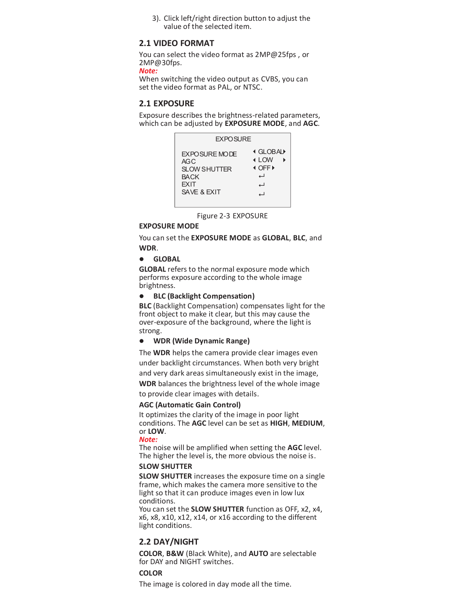3). Click left/right direction button to adjust the value of the selected item.

# **2.1 VIDEO FORMAT**

You can select the video format as 2MP@25fps , or 2MP@30fps.

*Note:*

When switching the video output as CVBS, you can set the video format as PAL, or NTSC.

# **2.1 EXPOSURE**

Exposure describes the brightness-related parameters, which can be adjusted by **EXPOSURE MODE**, and **AGC**.

| <b>EXPOSURE</b>                                                                           |                                                                     |
|-------------------------------------------------------------------------------------------|---------------------------------------------------------------------|
| <b>FXPOSURE MODE</b><br>AGC<br>SI OW SHUTTER<br><b>BACK</b><br><b>EXIT</b><br>SAVE & FXIT | <b>I GLOBAL</b><br>$\triangleleft$ I OW<br><b>E</b> OFF ▶<br>പ<br>┙ |

Figure 2-3 EXPOSURE

#### **EXPOSURE MODE**

You can set the **EXPOSURE MODE** as **GLOBAL**, **BLC**, and **WDR**.

l **GLOBAL**

**GLOBAL** refers to the normal exposure mode which performs exposure according to the whole image brightness.

#### l **BLC (Backlight Compensation)**

**BLC** (Backlight Compensation) compensates light for the front object to make it clear, but this may cause the over-exposure of the background, where the light is strong.

#### l **WDR (Wide Dynamic Range)**

The **WDR** helps the camera provide clear images even under backlight circumstances. When both very bright and very dark areas simultaneously exist in the image,

**WDR** balances the brightness level of the whole image

to provide clear images with details.

#### **AGC (Automatic Gain Control)**

It optimizes the clarity of the image in poor light conditions. The **AGC** level can be set as **HIGH**, **MEDIUM**, or **LOW**.

#### *Note:*

The noise will be amplified when setting the **AGC** level. The higher the level is, the more obvious the noise is.

#### **SLOW SHUTTER**

**SLOW SHUTTER** increases the exposure time on a single frame, which makes the camera more sensitive to the light so that it can produce images even in low lux conditions.

You can set the **SLOW SHUTTER** function as OFF, x2, x4, x6, x8, x10, x12, x14, or x16 according to the different light conditions.

# **2.2 DAY/NIGHT**

**COLOR**, **B&W** (Black White), and **AUTO** are selectable for DAY and NIGHT switches.

# **COLOR**

The image is colored in day mode all the time.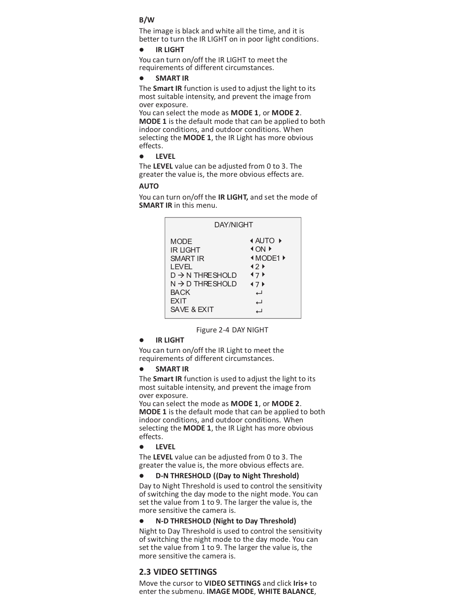#### **B/W**

The image is black and white all the time, and it is better to turn the IR LIGHT on in poor light conditions.

#### l **IR LIGHT**

You can turn on/off the IR LIGHT to meet the requirements of different circumstances.

#### l **SMART IR**

The **Smart IR** function is used to adjust the light to its most suitable intensity, and prevent the image from over exposure.

You can select the mode as **MODE 1**, or **MODE 2**. **MODE 1** is the default mode that can be applied to both indoor conditions, and outdoor conditions. When selecting the **MODE 1**, the IR Light has more obvious effects.

**e** LEVEL

The **LEVEL** value can be adjusted from 0 to 3. The greater the value is, the more obvious effects are.

# **AUTO**

You can turn on/off the **IR LIGHT,** and set the mode of **SMART IR** in this menu.

| DAY/NIGHT                                                                                                                                                               |                                                                                 |
|-------------------------------------------------------------------------------------------------------------------------------------------------------------------------|---------------------------------------------------------------------------------|
| <b>MODE</b><br><b>IR LIGHT</b><br><b>SMART IR</b><br>LEVEL.<br>$D \rightarrow N$ THRE SHOLD<br>$N \rightarrow D$ THRESHOLD<br><b>BACK</b><br><b>EXIT</b><br>SAVE & EXIT | <b>4 AUTO ▶</b><br><b>∢ON</b> ▶<br><b>IMODE1</b> ▶<br>42F<br>47<br>47<br>ل<br>പ |

Figure 2-4 DAY NIGHT

#### **IR LIGHT**

You can turn on/off the IR Light to meet the requirements of different circumstances.

l **SMART IR**

The **Smart IR** function is used to adjust the light to its most suitable intensity, and prevent the image from over exposure.

You can select the mode as **MODE 1**, or **MODE 2**. **MODE 1** is the default mode that can be applied to both indoor conditions, and outdoor conditions. When selecting the **MODE 1**, the IR Light has more obvious effects.

l **LEVEL**

The **LEVEL** value can be adjusted from 0 to 3. The greater the value is, the more obvious effects are.

l **D-N THRESHOLD ((Day to Night Threshold)** Day to Night Threshold is used to control the sensitivity of switching the day mode to the night mode. You can set the value from 1 to 9. The larger the value is, the more sensitive the camera is.

#### l **N-D THRESHOLD (Night to Day Threshold)**

Night to Day Threshold is used to control the sensitivity of switching the night mode to the day mode. You can set the value from 1 to 9. The larger the value is, the more sensitive the camera is.

# **2.3 VIDEO SETTINGS**

Move the cursor to **VIDEO SETTINGS** and click **Iris+** to enter the submenu. **IMAGE MODE**, **WHITE BALANCE**,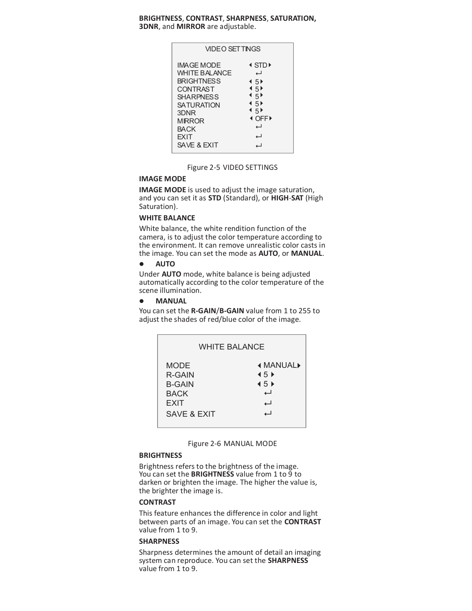#### **BRIGHTNESS**, **CONTRAST**, **SHARPNESS**, **SATURATION, 3DNR**, and **MIRROR** are adjustable.

| VIDEO SFT TINGS                                                                                                                                                                    |                                                                                                                                                                                          |
|------------------------------------------------------------------------------------------------------------------------------------------------------------------------------------|------------------------------------------------------------------------------------------------------------------------------------------------------------------------------------------|
| IMAGE MODE<br><b>WHITE BALANCE</b><br><b>BRIGHTNESS</b><br>CONTRAST<br><b>SHARPNESS</b><br><b>SATURATION</b><br>3DNR<br><b>MIRROR</b><br><b>BACK</b><br><b>FXIT</b><br>SAVE & FXIT | $\triangleleft$ STD $\triangleright$<br>اد<br>$\overline{45}$<br>$\leftarrow$ 5}<br>$\leftarrow$ 5 <sup><math>\uparrow</math></sup><br>$\overline{45}$<br>4.5<br><b>I</b> OFF▶<br>ب<br>പ |

#### Figure 2-5 VIDEO SETTINGS

# **IMAGE MODE**

**IMAGE MODE** is used to adjust the image saturation, and you can set it as **STD** (Standard), or **HIGH**-**SAT** (High Saturation).

# **WHITE BALANCE**

White balance, the white rendition function of the camera, is to adjust the color temperature according to the environment. It can remove unrealistic color casts in the image. You can set the mode as **AUTO**, or **MANUAL**.

# **e** AUTO

Under **AUTO** mode, white balance is being adjusted automatically according to the color temperature of the scene illumination.

l **MANUAL**

You can set the **R-GAIN**/**B-GAIN** value from 1 to 255 to adjust the shades of red/blue color of the image.

| <b>WHITE BALANCE</b>   |                                         |  |
|------------------------|-----------------------------------------|--|
| MODE                   | <b>4 MANUAL▶</b>                        |  |
| R-GAIN                 | $\blacklozenge$ 5 $\blacktriangleright$ |  |
| <b>B-GAIN</b>          | $\overline{45}$                         |  |
| <b>BACK</b>            | ┙                                       |  |
| <b>EXIT</b>            | ┙                                       |  |
| <b>SAVE &amp; EXIT</b> | $\overline{\phantom{0}}$                |  |



#### **BRIGHTNESS**

Brightness refers to the brightness of the image. You can set the **BRIGHTNESS** value from 1 to 9 to darken or brighten the image. The higher the value is, the brighter the image is.

#### **CONTRAST**

This feature enhances the difference in color and light between parts of an image. You can set the **CONTRAST** value from 1 to 9.

#### **SHARPNESS**

Sharpness determines the amount of detail an imaging system can reproduce. You can set the **SHARPNESS** value from 1 to 9.